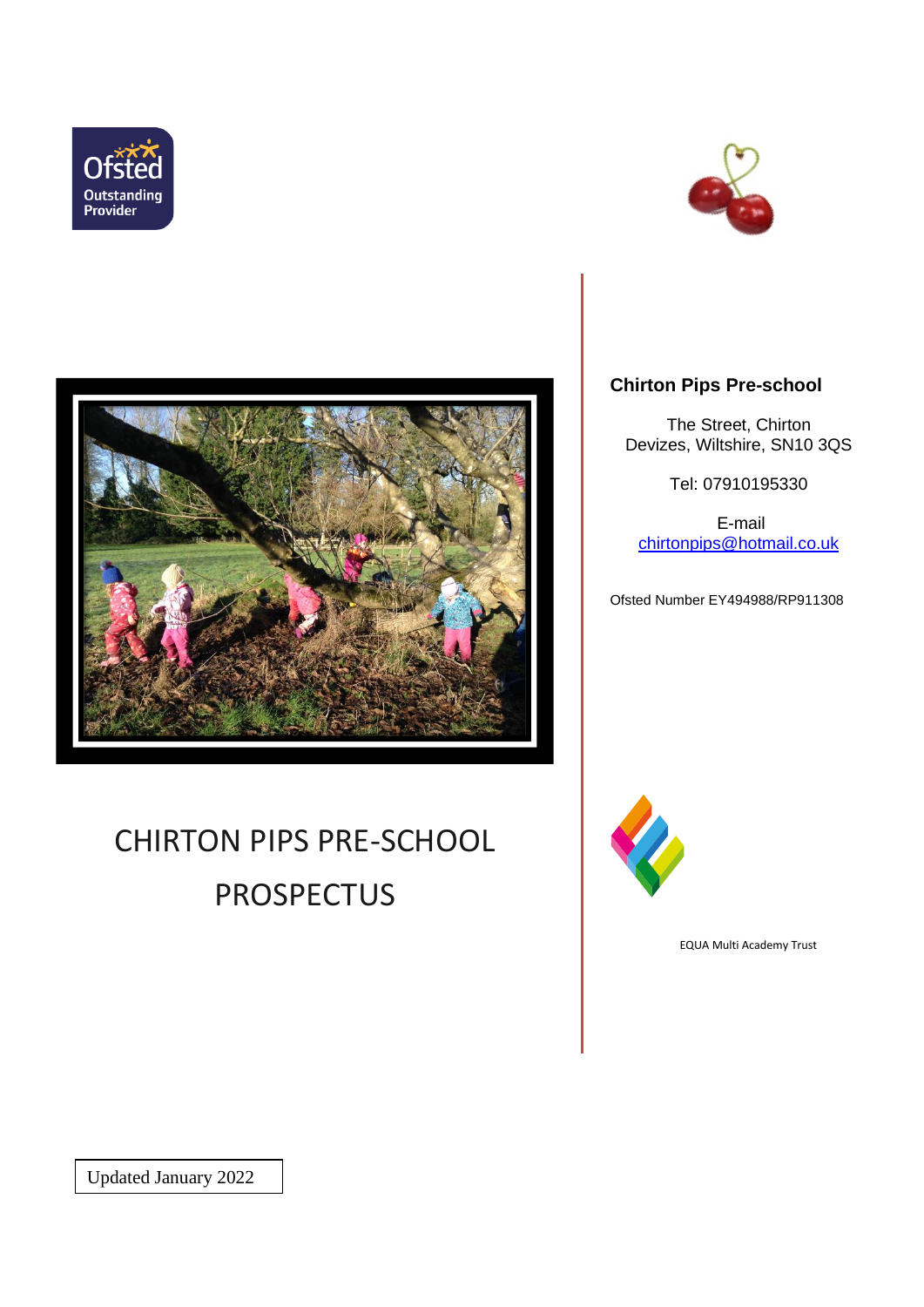





# CHIRTON PIPS PRE-SCHOOL PROSPECTUS

# **Chirton Pips Pre-school**

The Street, Chirton Devizes, Wiltshire, SN10 3QS

Tel: 07910195330

E-mail [chirtonpips@hotmail.co.uk](mailto:chirtonpips@hotmail.co.uk)

Ofsted Number EY494988/RP911308



EQUA Multi Academy Trust

Updated January 2022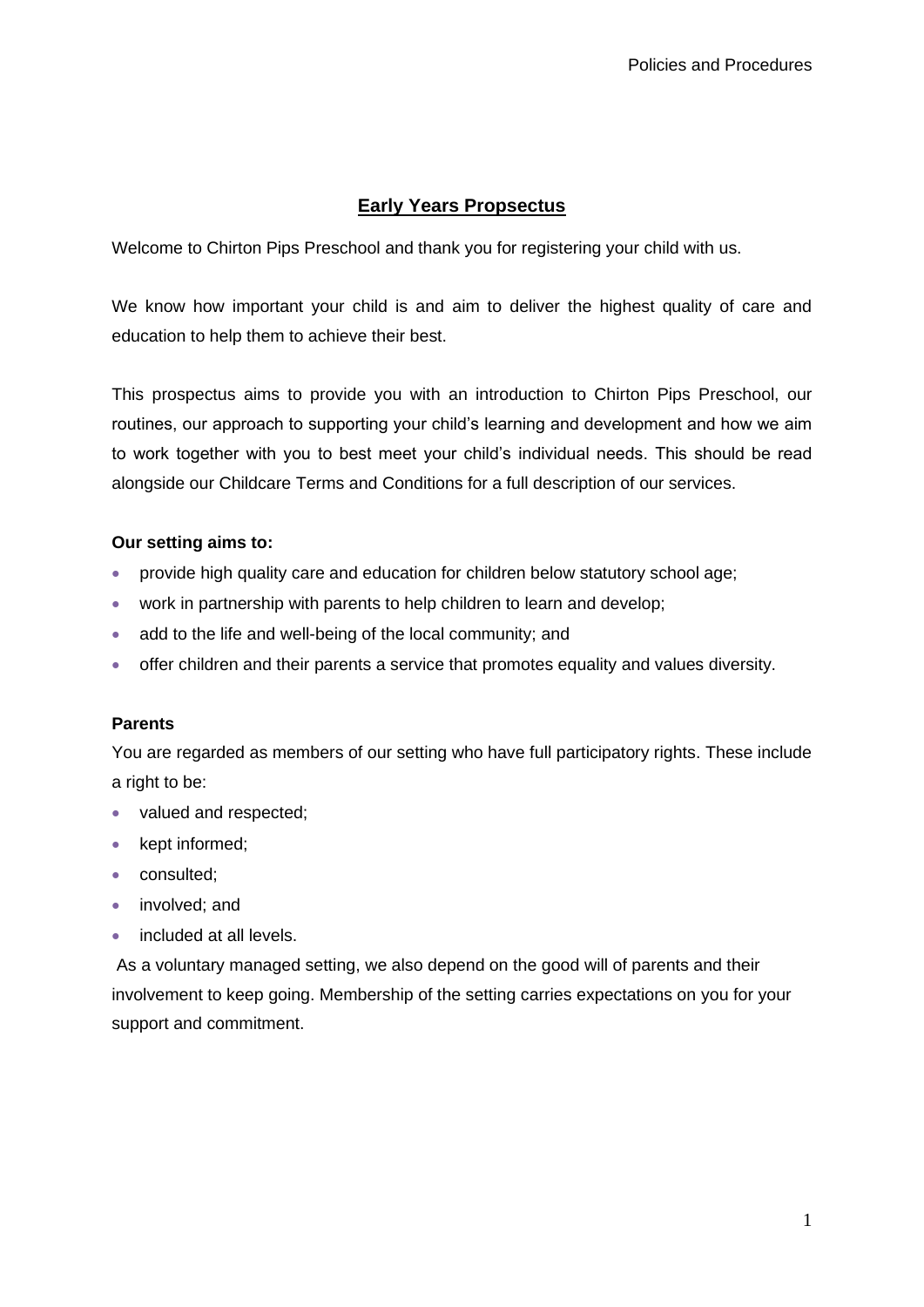## **Early Years Propsectus**

Welcome to Chirton Pips Preschool and thank you for registering your child with us.

We know how important your child is and aim to deliver the highest quality of care and education to help them to achieve their best.

This prospectus aims to provide you with an introduction to Chirton Pips Preschool, our routines, our approach to supporting your child's learning and development and how we aim to work together with you to best meet your child's individual needs. This should be read alongside our Childcare Terms and Conditions for a full description of our services.

## **Our setting aims to:**

- provide high quality care and education for children below statutory school age;
- work in partnership with parents to help children to learn and develop;
- add to the life and well-being of the local community; and
- offer children and their parents a service that promotes equality and values diversity.

## **Parents**

You are regarded as members of our setting who have full participatory rights. These include a right to be:

- valued and respected;
- kept informed;
- consulted;
- involved; and
- included at all levels.

As a voluntary managed setting, we also depend on the good will of parents and their involvement to keep going. Membership of the setting carries expectations on you for your support and commitment.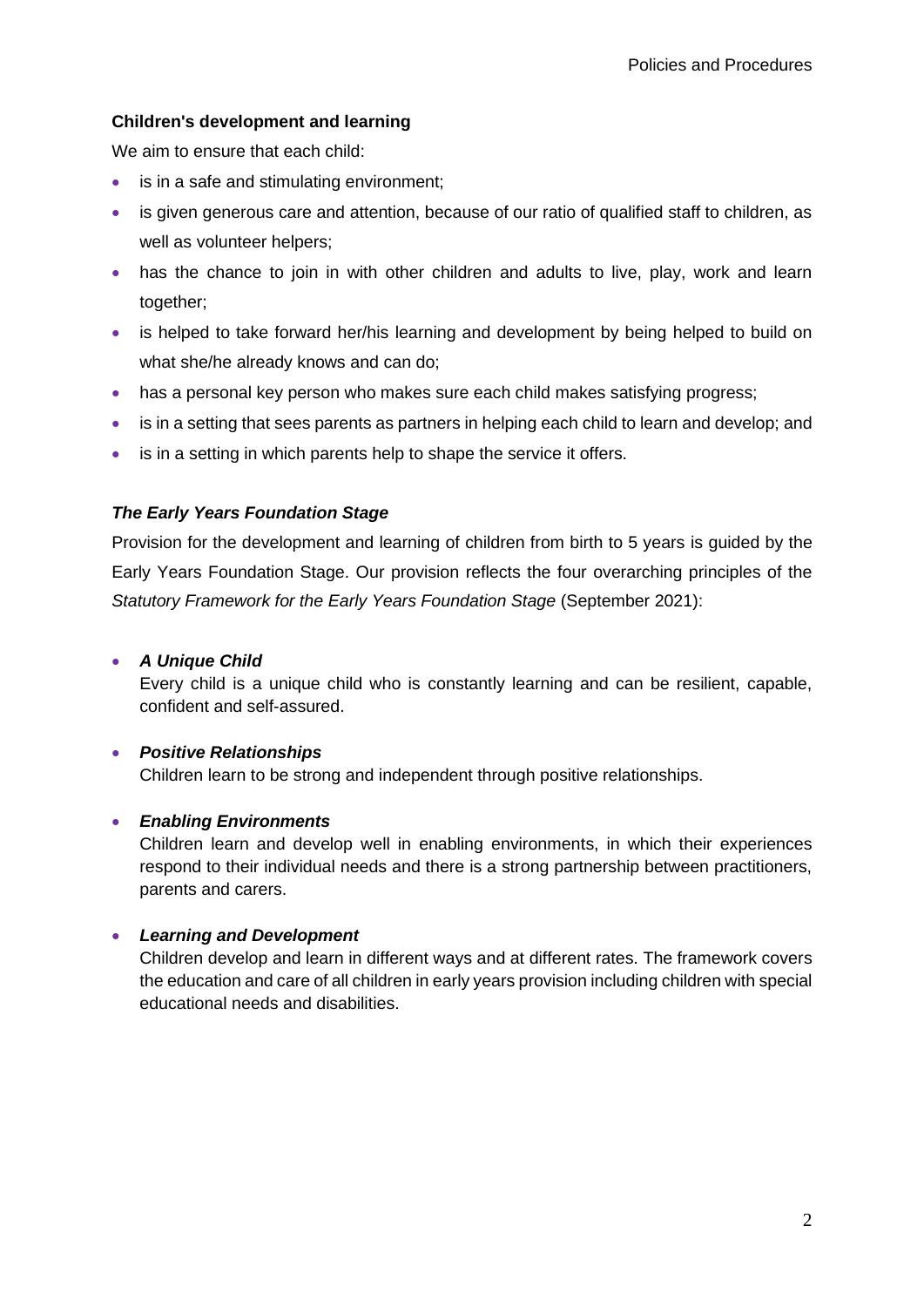## **Children's development and learning**

We aim to ensure that each child:

- is in a safe and stimulating environment:
- is given generous care and attention, because of our ratio of qualified staff to children, as well as volunteer helpers;
- has the chance to join in with other children and adults to live, play, work and learn together;
- is helped to take forward her/his learning and development by being helped to build on what she/he already knows and can do;
- has a personal key person who makes sure each child makes satisfying progress;
- is in a setting that sees parents as partners in helping each child to learn and develop; and
- is in a setting in which parents help to shape the service it offers.

## *The Early Years Foundation Stage*

Provision for the development and learning of children from birth to 5 years is guided by the Early Years Foundation Stage. Our provision reflects the four overarching principles of the *Statutory Framework for the Early Years Foundation Stage* (September 2021):

## • *A Unique Child*

Every child is a unique child who is constantly learning and can be resilient, capable, confident and self-assured.

## • *Positive Relationships*

Children learn to be strong and independent through positive relationships.

## • *Enabling Environments*

Children learn and develop well in enabling environments, in which their experiences respond to their individual needs and there is a strong partnership between practitioners, parents and carers.

## • *Learning and Development*

Children develop and learn in different ways and at different rates. The framework covers the education and care of all children in early years provision including children with special educational needs and disabilities.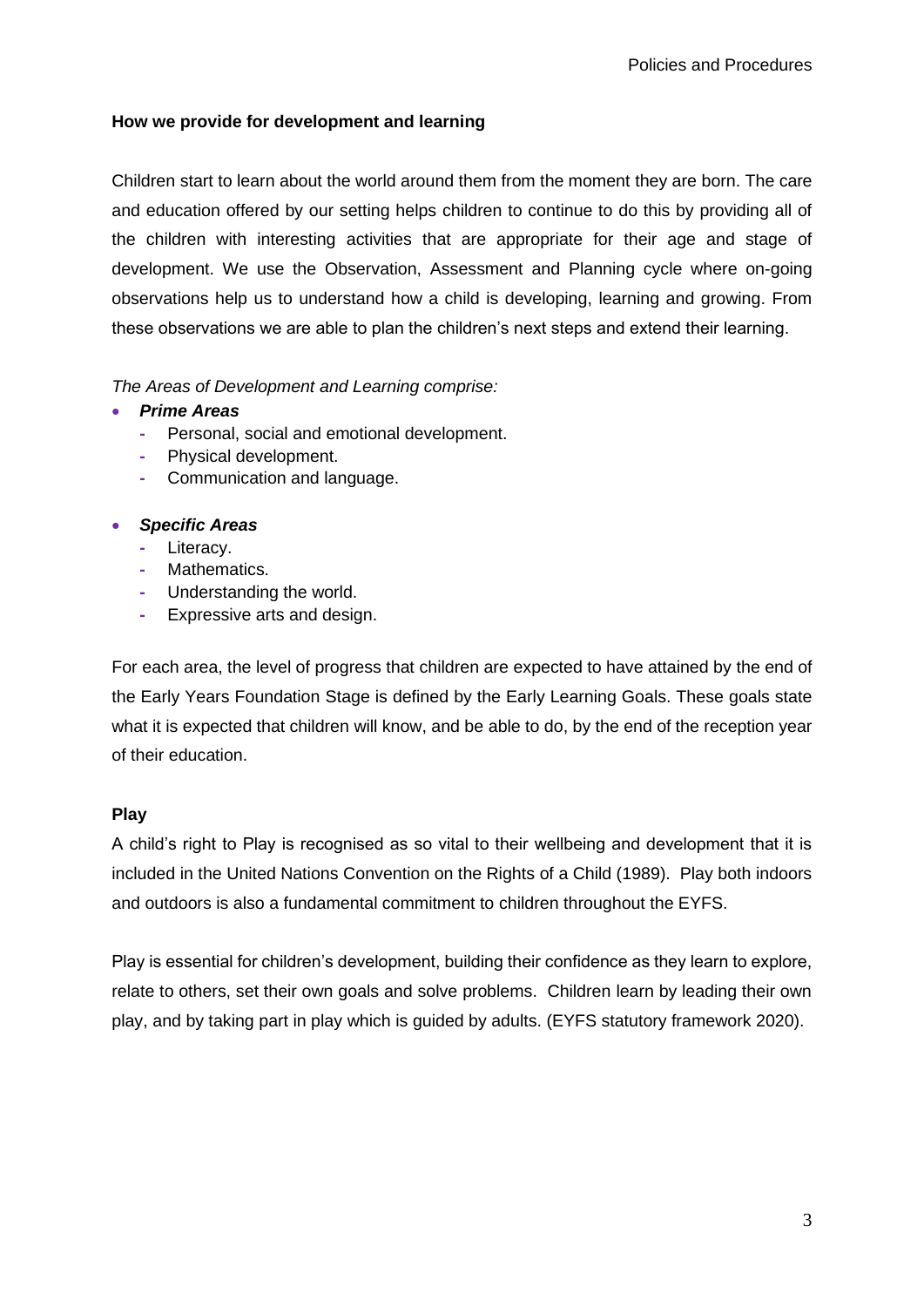## **How we provide for development and learning**

Children start to learn about the world around them from the moment they are born. The care and education offered by our setting helps children to continue to do this by providing all of the children with interesting activities that are appropriate for their age and stage of development. We use the Observation, Assessment and Planning cycle where on-going observations help us to understand how a child is developing, learning and growing. From these observations we are able to plan the children's next steps and extend their learning.

*The Areas of Development and Learning comprise:*

## • *Prime Areas*

- **-** Personal, social and emotional development.
- **-** Physical development.
- **-** Communication and language.

## • *Specific Areas*

- **-** Literacy.
- **-** Mathematics.
- **-** Understanding the world.
- **-** Expressive arts and design.

For each area, the level of progress that children are expected to have attained by the end of the Early Years Foundation Stage is defined by the Early Learning Goals. These goals state what it is expected that children will know, and be able to do, by the end of the reception year of their education.

## **Play**

A child's right to Play is recognised as so vital to their wellbeing and development that it is included in the United Nations Convention on the Rights of a Child (1989). Play both indoors and outdoors is also a fundamental commitment to children throughout the EYFS.

Play is essential for children's development, building their confidence as they learn to explore, relate to others, set their own goals and solve problems. Children learn by leading their own play, and by taking part in play which is guided by adults. (EYFS statutory framework 2020).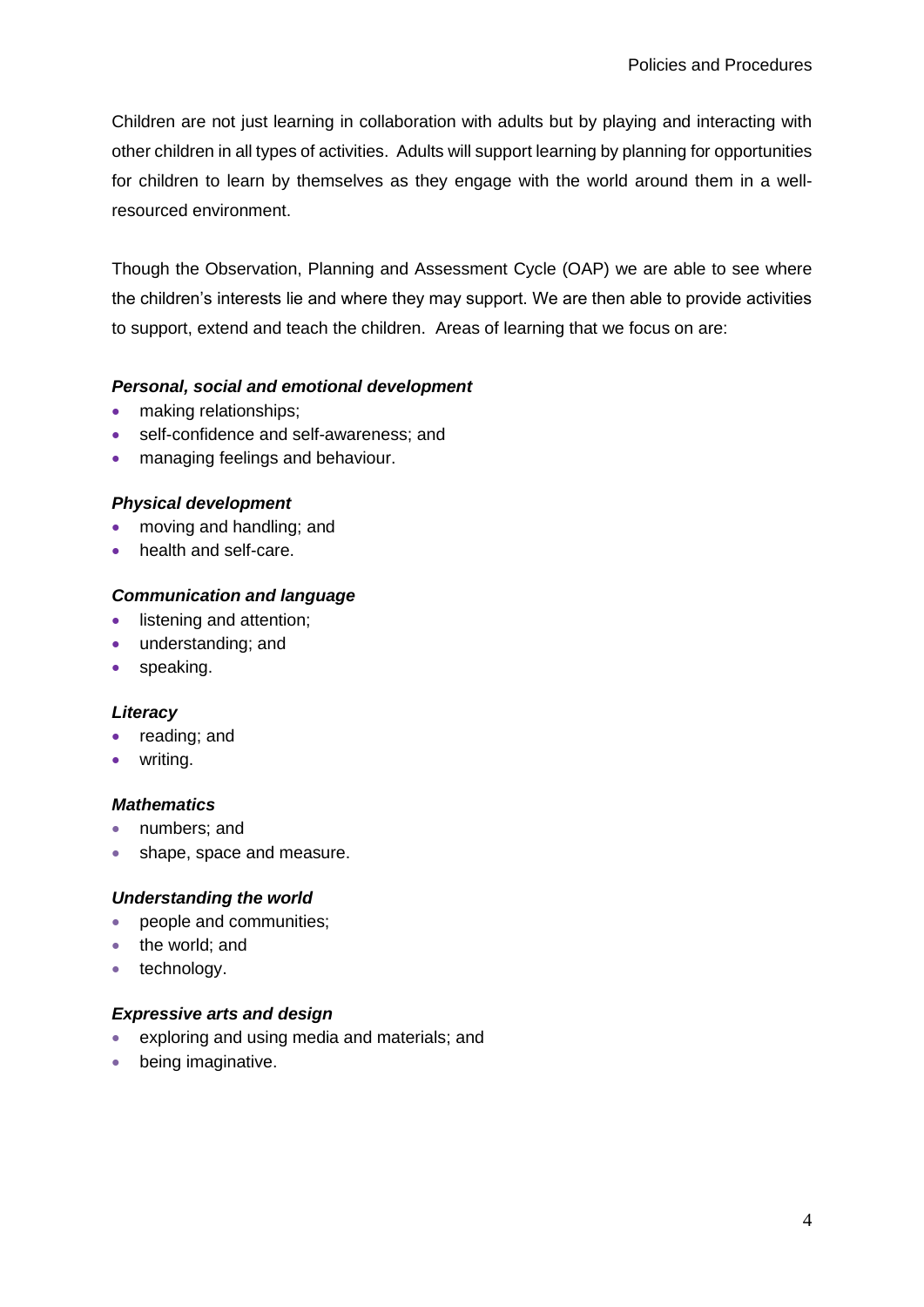Children are not just learning in collaboration with adults but by playing and interacting with other children in all types of activities. Adults will support learning by planning for opportunities for children to learn by themselves as they engage with the world around them in a wellresourced environment.

Though the Observation, Planning and Assessment Cycle (OAP) we are able to see where the children's interests lie and where they may support. We are then able to provide activities to support, extend and teach the children. Areas of learning that we focus on are:

## *Personal, social and emotional development*

- making relationships;
- self-confidence and self-awareness; and
- managing feelings and behaviour.

## *Physical development*

- moving and handling; and
- health and self-care.

## *Communication and language*

- listening and attention;
- understanding; and
- speaking.

## *Literacy*

- reading; and
- writing.

## *Mathematics*

- numbers; and
- shape, space and measure.

## *Understanding the world*

- people and communities;
- the world: and
- technology.

## *Expressive arts and design*

- exploring and using media and materials; and
- being imaginative.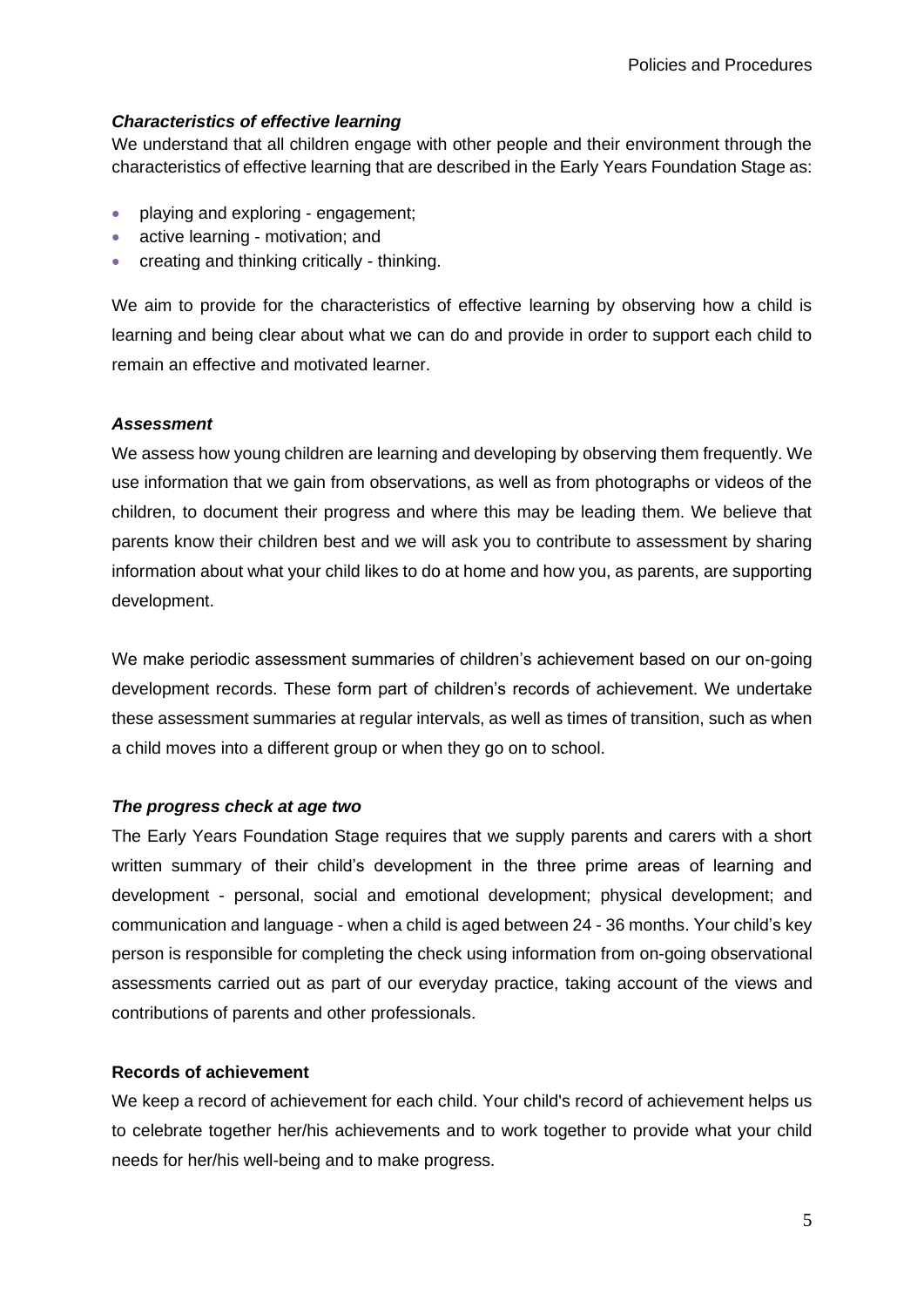#### *Characteristics of effective learning*

We understand that all children engage with other people and their environment through the characteristics of effective learning that are described in the Early Years Foundation Stage as:

- playing and exploring engagement:
- active learning motivation; and
- creating and thinking critically thinking.

We aim to provide for the characteristics of effective learning by observing how a child is learning and being clear about what we can do and provide in order to support each child to remain an effective and motivated learner.

#### *Assessment*

We assess how young children are learning and developing by observing them frequently. We use information that we gain from observations, as well as from photographs or videos of the children, to document their progress and where this may be leading them. We believe that parents know their children best and we will ask you to contribute to assessment by sharing information about what your child likes to do at home and how you, as parents, are supporting development.

We make periodic assessment summaries of children's achievement based on our on-going development records. These form part of children's records of achievement. We undertake these assessment summaries at regular intervals, as well as times of transition, such as when a child moves into a different group or when they go on to school.

#### *The progress check at age two*

The Early Years Foundation Stage requires that we supply parents and carers with a short written summary of their child's development in the three prime areas of learning and development - personal, social and emotional development; physical development; and communication and language - when a child is aged between 24 - 36 months. Your child's key person is responsible for completing the check using information from on-going observational assessments carried out as part of our everyday practice, taking account of the views and contributions of parents and other professionals.

#### **Records of achievement**

We keep a record of achievement for each child. Your child's record of achievement helps us to celebrate together her/his achievements and to work together to provide what your child needs for her/his well-being and to make progress.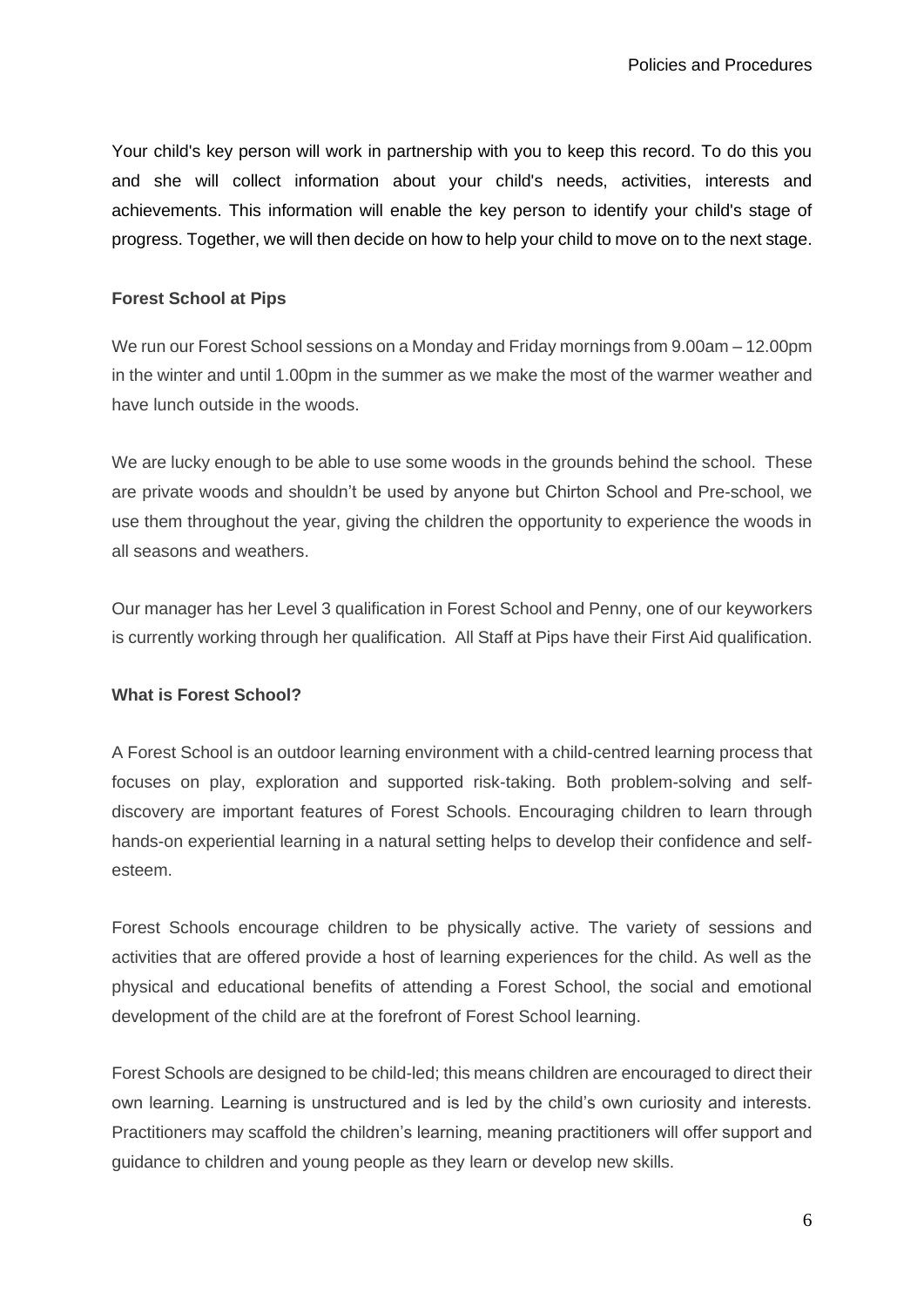Your child's key person will work in partnership with you to keep this record. To do this you and she will collect information about your child's needs, activities, interests and achievements. This information will enable the key person to identify your child's stage of progress. Together, we will then decide on how to help your child to move on to the next stage.

## **Forest School at Pips**

We run our Forest School sessions on a Monday and Friday mornings from 9.00am – 12.00pm in the winter and until 1.00pm in the summer as we make the most of the warmer weather and have lunch outside in the woods.

We are lucky enough to be able to use some woods in the grounds behind the school. These are private woods and shouldn't be used by anyone but Chirton School and Pre-school, we use them throughout the year, giving the children the opportunity to experience the woods in all seasons and weathers.

Our manager has her Level 3 qualification in Forest School and Penny, one of our keyworkers is currently working through her qualification. All Staff at Pips have their First Aid qualification.

## **What is Forest School?**

A Forest School is an outdoor learning environment with a child-centred learning process that focuses on play, exploration and supported risk-taking. Both problem-solving and selfdiscovery are important features of Forest Schools. Encouraging children to learn through hands-on experiential learning in a natural setting helps to develop their confidence and selfesteem.

Forest Schools encourage children to be physically active. The variety of sessions and activities that are offered provide a host of learning experiences for the child. As well as the physical and educational benefits of attending a Forest School, the social and emotional development of the child are at the forefront of Forest School learning.

Forest Schools are designed to be child-led; this means children are encouraged to direct their own learning. Learning is unstructured and is led by the child's own curiosity and interests. Practitioners may scaffold the children's learning, meaning practitioners will offer support and guidance to children and young people as they learn or develop new skills.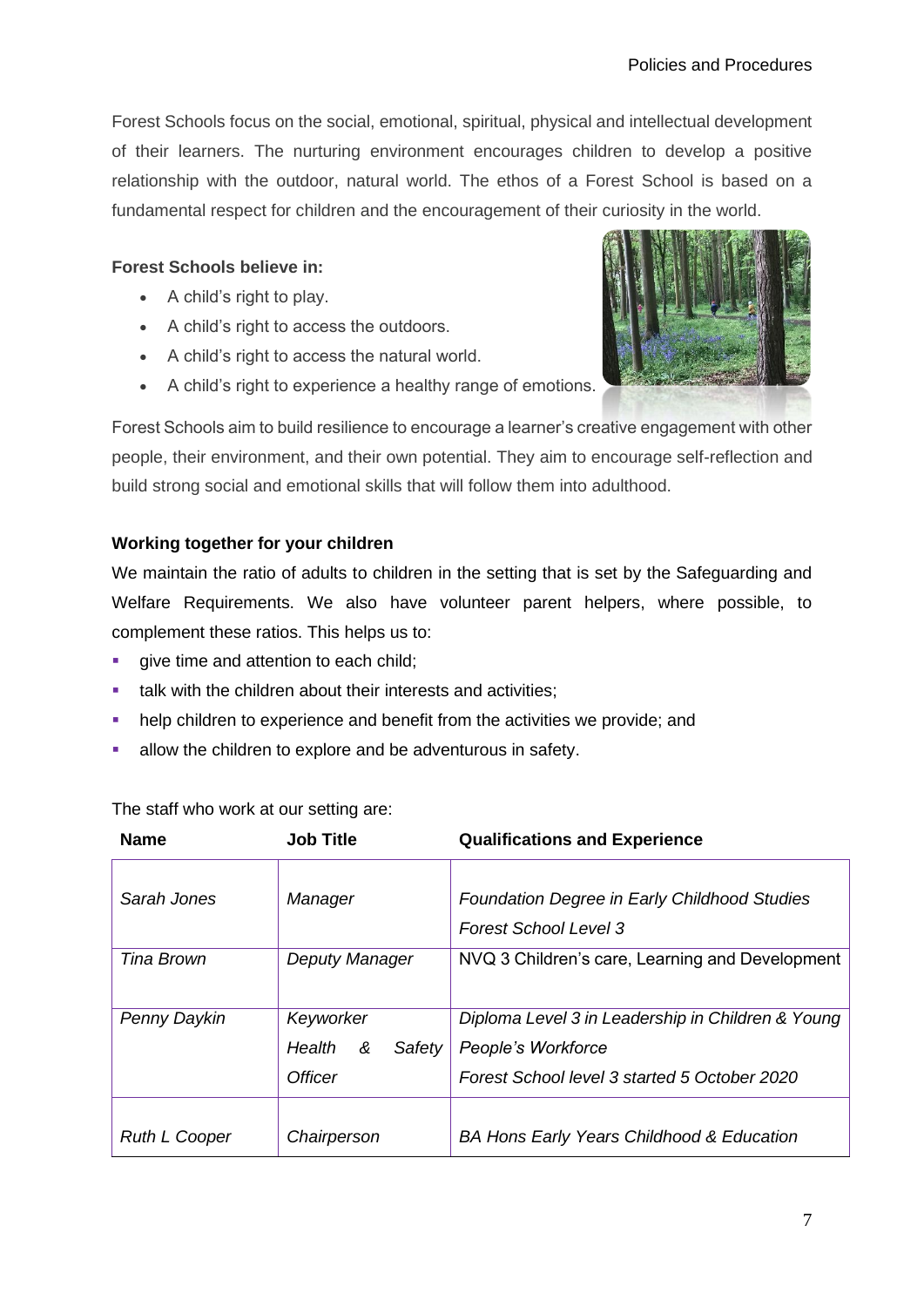Forest Schools focus on the social, emotional, spiritual, physical and intellectual development of their learners. The nurturing environment encourages children to develop a positive relationship with the outdoor, natural world. The ethos of a Forest School is based on a fundamental respect for children and the encouragement of their curiosity in the world.

## **Forest Schools believe in:**

- A child's right to play.
- A child's right to access the outdoors.
- A child's right to access the natural world.
- A child's right to experience a healthy range of emotions.



Forest Schools aim to build resilience to encourage a learner's creative engagement with other people, their environment, and their own potential. They aim to encourage self-reflection and build strong social and emotional skills that will follow them into adulthood.

## **Working together for your children**

We maintain the ratio of adults to children in the setting that is set by the Safeguarding and Welfare Requirements. We also have volunteer parent helpers, where possible, to complement these ratios. This helps us to:

- **•** give time and attention to each child;
- **■** talk with the children about their interests and activities:
- **•** help children to experience and benefit from the activities we provide; and
- allow the children to explore and be adventurous in safety.

The staff who work at our setting are:

| <b>Name</b>          | <b>Job Title</b>                                     | <b>Qualifications and Experience</b>                                                                                    |
|----------------------|------------------------------------------------------|-------------------------------------------------------------------------------------------------------------------------|
| Sarah Jones          | Manager                                              | <b>Foundation Degree in Early Childhood Studies</b><br><b>Forest School Level 3</b>                                     |
| Tina Brown           | Deputy Manager                                       | NVQ 3 Children's care, Learning and Development                                                                         |
| Penny Daykin         | Keyworker<br>Health<br>&<br>Safety<br><b>Officer</b> | Diploma Level 3 in Leadership in Children & Young<br>People's Workforce<br>Forest School level 3 started 5 October 2020 |
| <b>Ruth L Cooper</b> | Chairperson                                          | <b>BA Hons Early Years Childhood &amp; Education</b>                                                                    |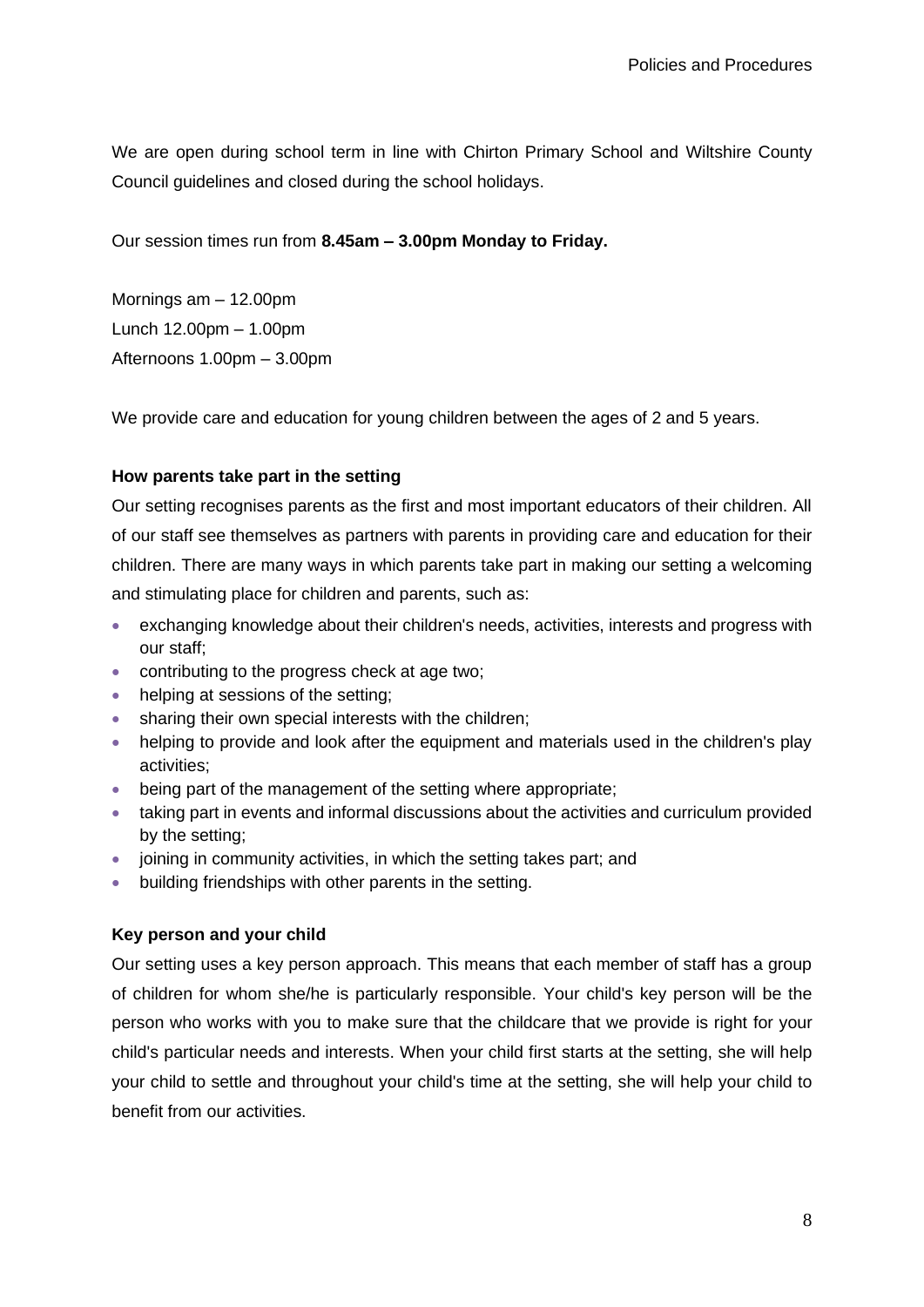We are open during school term in line with Chirton Primary School and Wiltshire County Council guidelines and closed during the school holidays.

Our session times run from **8.45am – 3.00pm Monday to Friday.**

Mornings am – 12.00pm Lunch 12.00pm – 1.00pm Afternoons 1.00pm – 3.00pm

We provide care and education for young children between the ages of 2 and 5 years.

## **How parents take part in the setting**

Our setting recognises parents as the first and most important educators of their children. All of our staff see themselves as partners with parents in providing care and education for their children. There are many ways in which parents take part in making our setting a welcoming and stimulating place for children and parents, such as:

- exchanging knowledge about their children's needs, activities, interests and progress with our staff;
- contributing to the progress check at age two;
- helping at sessions of the setting;
- sharing their own special interests with the children;
- helping to provide and look after the equipment and materials used in the children's play activities;
- being part of the management of the setting where appropriate;
- taking part in events and informal discussions about the activities and curriculum provided by the setting;
- joining in community activities, in which the setting takes part; and
- building friendships with other parents in the setting.

## **Key person and your child**

Our setting uses a key person approach. This means that each member of staff has a group of children for whom she/he is particularly responsible. Your child's key person will be the person who works with you to make sure that the childcare that we provide is right for your child's particular needs and interests. When your child first starts at the setting, she will help your child to settle and throughout your child's time at the setting, she will help your child to benefit from our activities.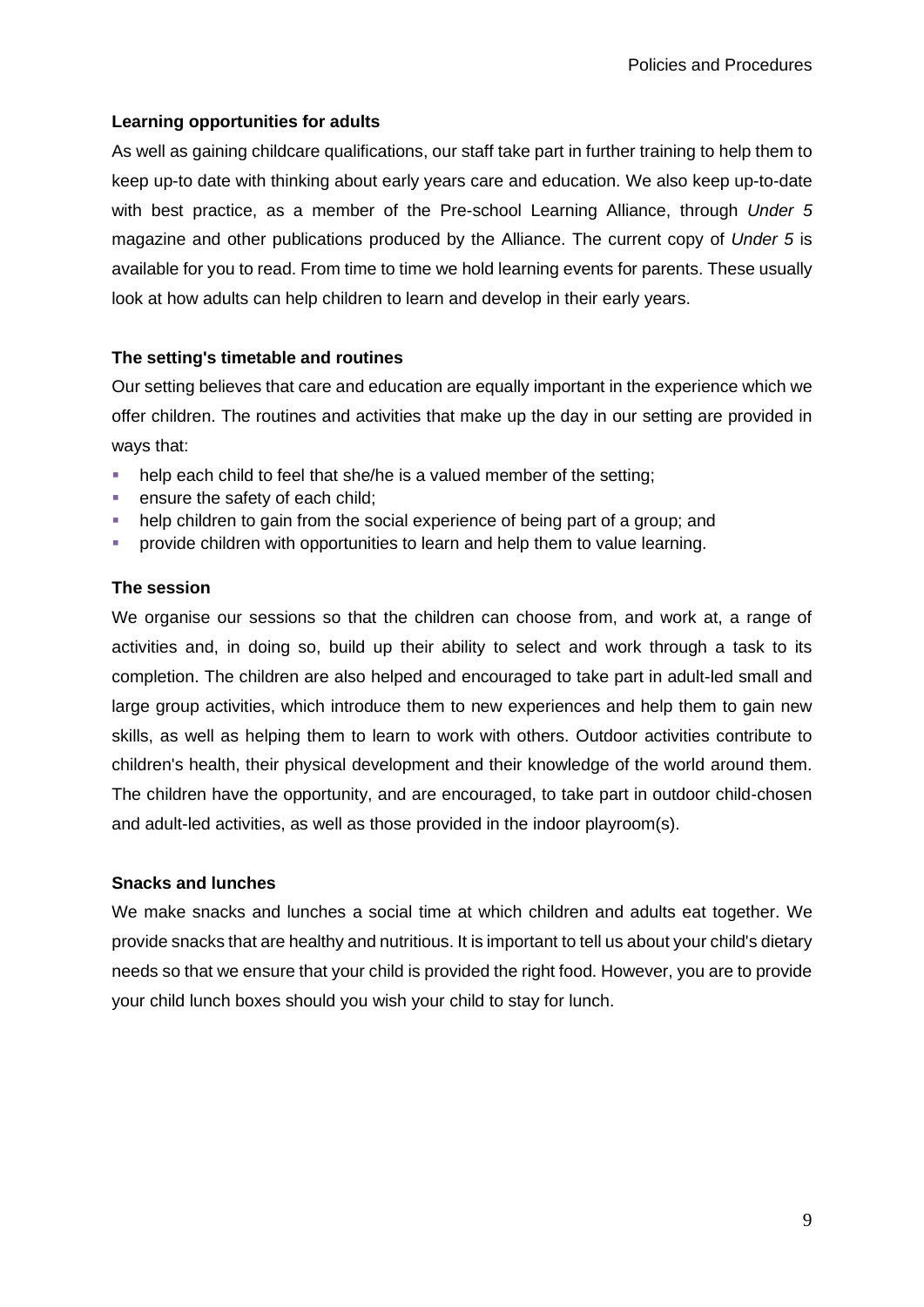## **Learning opportunities for adults**

As well as gaining childcare qualifications, our staff take part in further training to help them to keep up-to date with thinking about early years care and education. We also keep up-to-date with best practice, as a member of the Pre-school Learning Alliance, through *Under 5* magazine and other publications produced by the Alliance. The current copy of *Under 5* is available for you to read. From time to time we hold learning events for parents. These usually look at how adults can help children to learn and develop in their early years.

## **The setting's timetable and routines**

Our setting believes that care and education are equally important in the experience which we offer children. The routines and activities that make up the day in our setting are provided in ways that:

- help each child to feel that she/he is a valued member of the setting;
- **E** ensure the safety of each child;
- help children to gain from the social experience of being part of a group; and
- provide children with opportunities to learn and help them to value learning.

## **The session**

We organise our sessions so that the children can choose from, and work at, a range of activities and, in doing so, build up their ability to select and work through a task to its completion. The children are also helped and encouraged to take part in adult-led small and large group activities, which introduce them to new experiences and help them to gain new skills, as well as helping them to learn to work with others. Outdoor activities contribute to children's health, their physical development and their knowledge of the world around them. The children have the opportunity, and are encouraged, to take part in outdoor child-chosen and adult-led activities, as well as those provided in the indoor playroom(s).

## **Snacks and lunches**

We make snacks and lunches a social time at which children and adults eat together. We provide snacks that are healthy and nutritious. It is important to tell us about your child's dietary needs so that we ensure that your child is provided the right food. However, you are to provide your child lunch boxes should you wish your child to stay for lunch.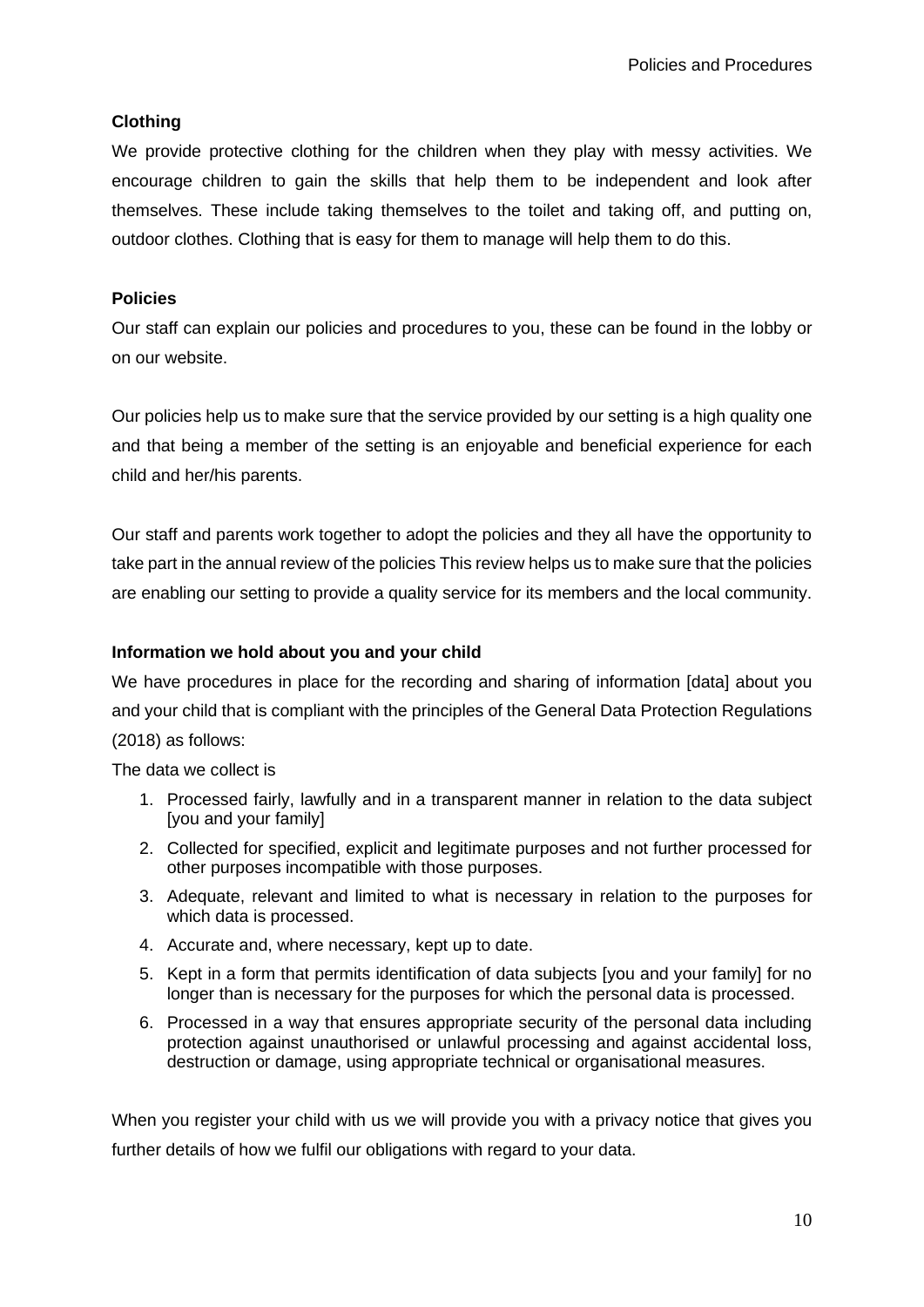## **Clothing**

We provide protective clothing for the children when they play with messy activities. We encourage children to gain the skills that help them to be independent and look after themselves. These include taking themselves to the toilet and taking off, and putting on, outdoor clothes. Clothing that is easy for them to manage will help them to do this.

## **Policies**

Our staff can explain our policies and procedures to you, these can be found in the lobby or on our website.

Our policies help us to make sure that the service provided by our setting is a high quality one and that being a member of the setting is an enjoyable and beneficial experience for each child and her/his parents.

Our staff and parents work together to adopt the policies and they all have the opportunity to take part in the annual review of the policies This review helps us to make sure that the policies are enabling our setting to provide a quality service for its members and the local community.

## **Information we hold about you and your child**

We have procedures in place for the recording and sharing of information [data] about you and your child that is compliant with the principles of the General Data Protection Regulations (2018) as follows:

The data we collect is

- 1. Processed fairly, lawfully and in a transparent manner in relation to the data subject [you and your family]
- 2. Collected for specified, explicit and legitimate purposes and not further processed for other purposes incompatible with those purposes.
- 3. Adequate, relevant and limited to what is necessary in relation to the purposes for which data is processed.
- 4. Accurate and, where necessary, kept up to date.
- 5. Kept in a form that permits identification of data subjects [you and your family] for no longer than is necessary for the purposes for which the personal data is processed.
- 6. Processed in a way that ensures appropriate security of the personal data including protection against unauthorised or unlawful processing and against accidental loss, destruction or damage, using appropriate technical or organisational measures.

When you register your child with us we will provide you with a privacy notice that gives you further details of how we fulfil our obligations with regard to your data.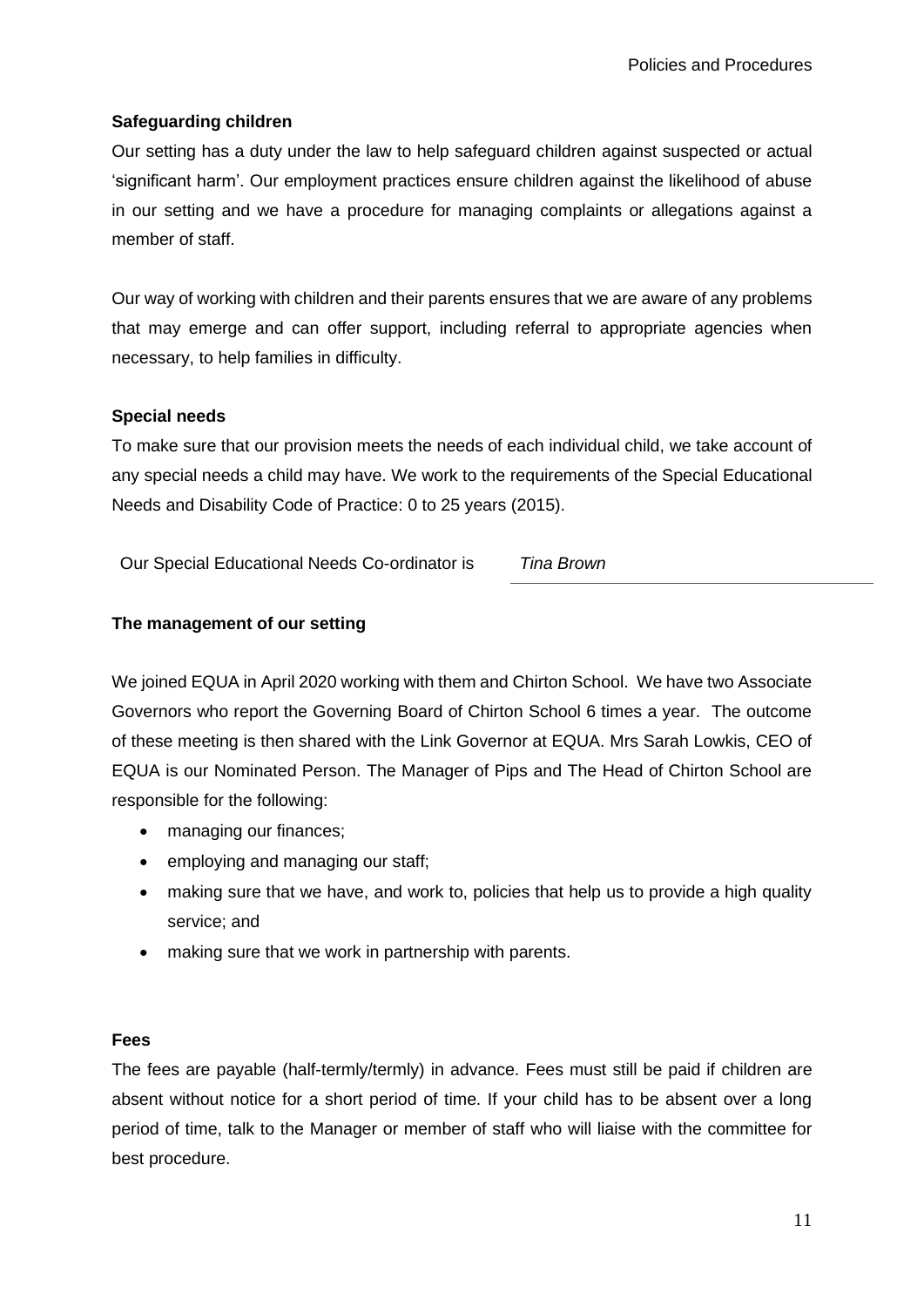## **Safeguarding children**

Our setting has a duty under the law to help safeguard children against suspected or actual 'significant harm'. Our employment practices ensure children against the likelihood of abuse in our setting and we have a procedure for managing complaints or allegations against a member of staff.

Our way of working with children and their parents ensures that we are aware of any problems that may emerge and can offer support, including referral to appropriate agencies when necessary, to help families in difficulty.

## **Special needs**

To make sure that our provision meets the needs of each individual child, we take account of any special needs a child may have. We work to the requirements of the Special Educational Needs and Disability Code of Practice: 0 to 25 years (2015).

Our Special Educational Needs Co-ordinator is *Tina Brown*

## **The management of our setting**

We joined EQUA in April 2020 working with them and Chirton School. We have two Associate Governors who report the Governing Board of Chirton School 6 times a year. The outcome of these meeting is then shared with the Link Governor at EQUA. Mrs Sarah Lowkis, CEO of EQUA is our Nominated Person. The Manager of Pips and The Head of Chirton School are responsible for the following:

- managing our finances;
- employing and managing our staff;
- making sure that we have, and work to, policies that help us to provide a high quality service; and
- making sure that we work in partnership with parents.

## **Fees**

The fees are payable (half-termly/termly) in advance. Fees must still be paid if children are absent without notice for a short period of time. If your child has to be absent over a long period of time, talk to the Manager or member of staff who will liaise with the committee for best procedure.